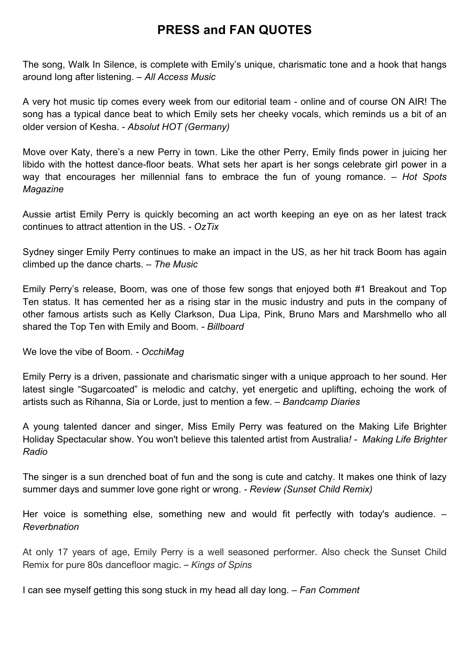## **PRESS and FAN QUOTES**

The song, Walk In Silence, is complete with Emily's unique, charismatic tone and a hook that hangs around long after listening. *– All Access Music*

A very hot music tip comes every week from our editorial team - online and of course ON AIR! The song has a typical dance beat to which Emily sets her cheeky vocals, which reminds us a bit of an older version of Kesha. - *Absolut HOT (Germany)*

Move over Katy, there's a new Perry in town. Like the other Perry, Emily finds power in juicing her libido with the hottest dance-floor beats. What sets her apart is her songs celebrate girl power in a way that encourages her millennial fans to embrace the fun of young romance. *– Hot Spots Magazine*

Aussie artist Emily Perry is quickly becoming an act worth keeping an eye on as her latest track continues to attract attention in the US. *- OzTix*

Sydney singer Emily Perry continues to make an impact in the US, as her hit track Boom has again climbed up the dance charts. *– The Music*

Emily Perry's release, Boom, was one of those few songs that enjoyed both #1 Breakout and Top Ten status. It has cemented her as a rising star in the music industry and puts in the company of other famous artists such as Kelly Clarkson, Dua Lipa, Pink, Bruno Mars and Marshmello who all shared the Top Ten with Emily and Boom. *- Billboard*

We love the vibe of Boom. *- OcchiMag*

Emily Perry is a driven, passionate and charismatic singer with a unique approach to her sound. Her latest single "Sugarcoated" is melodic and catchy, yet energetic and uplifting, echoing the work of artists such as Rihanna, Sia or Lorde, just to mention a few. *– Bandcamp Diaries*

A young talented dancer and singer, Miss Emily Perry was featured on the Making Life Brighter Holiday Spectacular show. You won't believe this talented artist from Australia*! - Making Life Brighter Radio*

The singer is a sun drenched boat of fun and the song is cute and catchy. It makes one think of lazy summer days and summer love gone right or wrong. *- Review (Sunset Child Remix)*

Her voice is something else, something new and would fit perfectly with today's audience. *– Reverbnation*

At only 17 years of age, Emily Perry is a well seasoned performer. Also check the Sunset Child Remix for pure 80s dancefloor magic. *– Kings of Spins*

I can see myself getting this song stuck in my head all day long. *– Fan Comment*